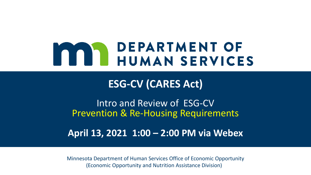# **MAN DEPARTMENT OF<br>HUMAN SERVICES**

**ESG-CV (CARES Act)**

Intro and Review of ESG-CV Prevention & Re-Housing Requirements

**April 13, 2021 1:00 – 2:00 PM via Webex**

Minnesota Department of Human Services Office of Economic Opportunity (Economic Opportunity and Nutrition Assistance Division)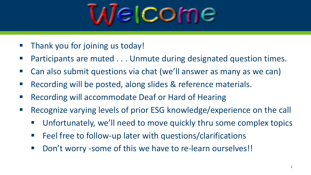

- Thank you for joining us today!
- Participants are muted . . . Unmute during designated question times.
- Can also submit questions via chat (we'll answer as many as we can)
- Recording will be posted, along slides & reference materials.
- Recording will accommodate Deaf or Hard of Hearing
- Recognize varying levels of prior ESG knowledge/experience on the call
	- Unfortunately, we'll need to move quickly thru some complex topics
	- Feel free to follow-up later with questions/clarifications
	- Don't worry -some of this we have to re-learn ourselves!!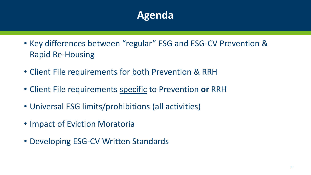## **Agenda**

- Key differences between "regular" ESG and ESG-CV Prevention & Rapid Re-Housing
- Client File requirements for both Prevention & RRH
- Client File requirements specific to Prevention **or** RRH
- Universal ESG limits/prohibitions (all activities)
- Impact of Eviction Moratoria
- Developing ESG-CV Written Standards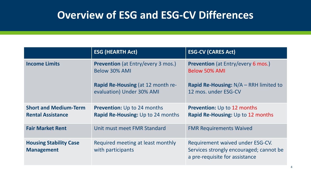## **Overview of ESG and ESG-CV Differences**

|                                                          | <b>ESG (HEARTH Act)</b>                                                        | <b>ESG-CV (CARES Act)</b>                                                                                     |
|----------------------------------------------------------|--------------------------------------------------------------------------------|---------------------------------------------------------------------------------------------------------------|
| <b>Income Limits</b>                                     | <b>Prevention</b> (at Entry/every 3 mos.)<br>Below 30% AMI                     | <b>Prevention</b> (at Entry/every 6 mos.)<br><b>Below 50% AMI</b>                                             |
|                                                          | <b>Rapid Re-Housing (at 12 month re-</b><br>evaluation) Under 30% AMI          | Rapid Re-Housing: N/A – RRH limited to<br>12 mos. under ESG-CV                                                |
| <b>Short and Medium-Term</b><br><b>Rental Assistance</b> | <b>Prevention:</b> Up to 24 months<br><b>Rapid Re-Housing:</b> Up to 24 months | <b>Prevention:</b> Up to 12 months<br>Rapid Re-Housing: Up to 12 months                                       |
| <b>Fair Market Rent</b>                                  | Unit must meet FMR Standard                                                    | <b>FMR Requirements Waived</b>                                                                                |
| <b>Housing Stability Case</b><br><b>Management</b>       | Required meeting at least monthly<br>with participants                         | Requirement waived under ESG-CV.<br>Services strongly encouraged; cannot be<br>a pre-requisite for assistance |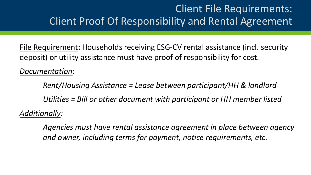## Client File Requirements: Client Proof Of Responsibility and Rental Agreement

File Requirement**:** Households receiving ESG-CV rental assistance (incl. security deposit) or utility assistance must have proof of responsibility for cost.

*Documentation:* 

*Rent/Housing Assistance = Lease between participant/HH & landlord Utilities = Bill or other document with participant or HH member listed Additionally:*

*Agencies must have rental assistance agreement in place between agency and owner, including terms for payment, notice requirements, etc.*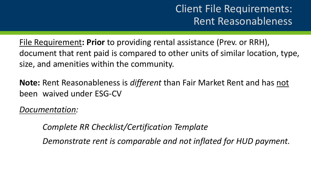## Client File Requirements: Rent Reasonableness

File Requirement**: Prior** to providing rental assistance (Prev. or RRH), document that rent paid is compared to other units of similar location, type, size, and amenities within the community.

**Note:** Rent Reasonableness is *different* than Fair Market Rent and has not been waived under ESG-CV

*Documentation:* 

*Complete RR Checklist/Certification Template* 

*Demonstrate rent is comparable and not inflated for HUD payment.*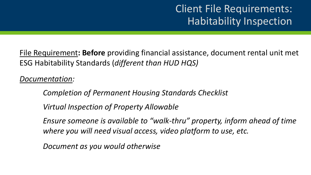## Client File Requirements: Habitability Inspection

File Requirement**: Before** providing financial assistance, document rental unit met ESG Habitability Standards (*different than HUD HQS)*

*Documentation:* 

*Completion of Permanent Housing Standards Checklist*

*Virtual Inspection of Property Allowable* 

*Ensure someone is available to "walk-thru" property, inform ahead of time where you will need visual access, video platform to use, etc.* 

*Document as you would otherwise*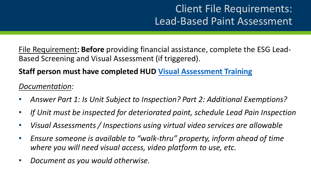## Client File Requirements: Lead-Based Paint Assessment

File Requirement**: Before** providing financial assistance, complete the ESG Lead-Based Screening and Visual Assessment (if triggered).

#### **Staff person must have completed HUD [Visual Assessment Training](https://apps.hud.gov/offices/lead/training/visualassessment/h00101.htm)**

#### *Documentation:*

- *Answer Part 1: Is Unit Subject to Inspection? Part 2: Additional Exemptions?*
- *If Unit must be inspected for deteriorated paint, schedule Lead Pain Inspection*
- *Visual Assessments / Inspections using virtual video services are allowable*
- *Ensure someone is available to "walk-thru" property, inform ahead of time where you will need visual access, video platform to use, etc.*
- *Document as you would otherwise.*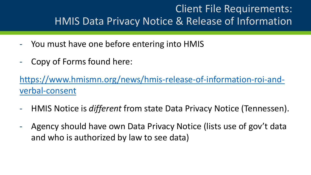## Client File Requirements: HMIS Data Privacy Notice & Release of Information

- You must have one before entering into HMIS
- Copy of Forms found here:

[https://www.hmismn.org/news/hmis-release-of-information-roi-and](https://www.hmismn.org/news/hmis-release-of-information-roi-and-verbal-consent)verbal-consent

- HMIS Notice is *different* from state Data Privacy Notice (Tennessen).
- Agency should have own Data Privacy Notice (lists use of gov't data and who is authorized by law to see data)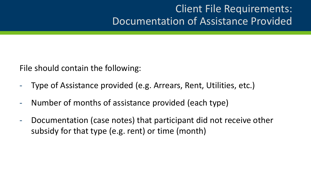## Client File Requirements: Documentation of Assistance Provided

File should contain the following:

- Type of Assistance provided (e.g. Arrears, Rent, Utilities, etc.)
- Number of months of assistance provided (each type)
- Documentation (case notes) that participant did not receive other subsidy for that type (e.g. rent) or time (month)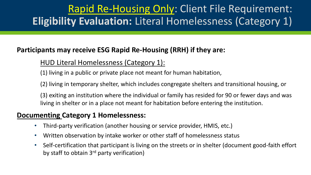## Rapid Re-Housing Only: Client File Requirement: **Eligibility Evaluation:** Literal Homelessness (Category 1)

#### **Participants may receive ESG Rapid Re-Housing (RRH) if they are:**

#### HUD Literal Homelessness (Category 1):

(1) living in a public or private place not meant for human habitation,

(2) living in temporary shelter, which includes congregate shelters and transitional housing, or

(3) exiting an institution where the individual or family has resided for 90 or fewer days and was living in shelter or in a place not meant for habitation before entering the institution.

#### **Documenting Category 1 Homelessness:**

- Third-party verification (another housing or service provider, HMIS, etc.)
- Written observation by intake worker or other staff of homelessness status
- Self-certification that participant is living on the streets or in shelter (document good-faith effort by staff to obtain 3<sup>rd</sup> party verification)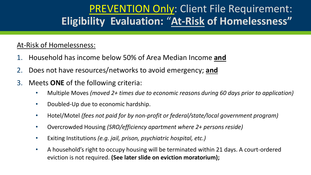## PREVENTION Only: Client File Requirement: **Eligibility Evaluation:** "**At-Risk of Homelessness"**

#### At-Risk of Homelessness:

- 1. Household has income below 50% of Area Median Income **and**
- 2. Does not have resources/networks to avoid emergency; **and**
- 3. Meets **ONE** of the following criteria:
	- Multiple Moves *(moved 2+ times due to economic reasons during 60 days prior to application)*
	- Doubled-Up due to economic hardship.
	- Hotel/Motel *(fees not paid for by non-profit or federal/state/local government program)*
	- Overcrowded Housing *(SRO/efficiency apartment where 2+ persons reside)*
	- Exiting Institutions *(e.g. jail, prison, psychiatric hospital, etc.)*
	- A household's right to occupy housing will be terminated within 21 days. A court-ordered eviction is not required. **(See later slide on eviction moratorium);**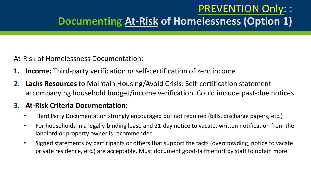## PREVENTION Only: : **Documenting At-Risk of Homelessness (Option 1)**

#### At-Risk of Homelessness Documentation:

- **1. Income:** Third-party verification *or* self-certification of zero income
- **2. Lacks Resources** to Maintain Housing/Avoid Crisis: Self-certification statement accompanying household budget/income verification. Could include past-due notices

#### **3. At-Risk Criteria Documentation:**

- Third Party Documentation strongly encouraged but not required (bills, discharge papers, etc.)
- For households in a legally-binding lease and 21-day notice to vacate, written notification from the landlord or property owner is recommended.
- Signed statements by participants or others that support the facts (overcrowding, notice to vacate private residence, etc.) are acceptable. Must document good-faith effort by staff to obtain more.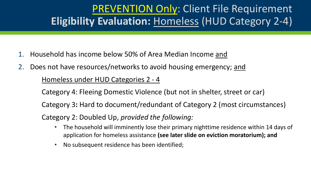## PREVENTION Only: Client File Requirement **Eligibility Evaluation:** Homeless (HUD Category 2-4)

- 1. Household has income below 50% of Area Median Income and
- 2. Does not have resources/networks to avoid housing emergency; and Homeless under HUD Categories 2 - 4

Category 4: Fleeing Domestic Violence (but not in shelter, street or car) Category 3**:** Hard to document/redundant of Category 2 (most circumstances) Category 2: Doubled Up, *provided the following:*

- The household will imminently lose their primary nighttime residence within 14 days of application for homeless assistance **(see later slide on eviction moratorium); and**
- No subsequent residence has been identified;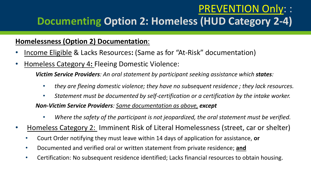## PREVENTION Only: : **Documenting Option 2: Homeless (HUD Category 2-4)**

#### **Homelessness (Option 2) Documentation**:

- Income Eligible & Lacks Resources**:** (Same as for "At-Risk" documentation)
- Homeless Category 4**:** Fleeing Domestic Violence:

*Victim Service Providers: An oral statement by participant seeking assistance which states:* 

- *they are fleeing domestic violence; they have no subsequent residence ; they lack resources.*
- *Statement must be documented by self-certification or a certification by the intake worker.*

*Non-Victim Service Providers: Same documentation as above, except*

- *Where the safety of the participant is not jeopardized, the oral statement must be verified.*
- Homeless Category 2: Imminent Risk of Literal Homelessness (street, car or shelter)
	- Court Order notifying they must leave within 14 days of application for assistance, **or**
	- Documented and verified oral or written statement from private residence; **and**
	- Certification: No subsequent residence identified; Lacks financial resources to obtain housing.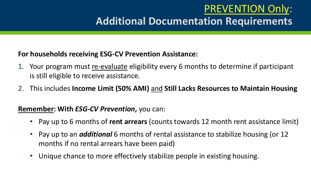## PREVENTION Only: **Additional Documentation Requirements**

#### **For households receiving ESG-CV Prevention Assistance:**

- 1. Your program must re-evaluate eligibility every 6 months to determine if participant is still eligible to receive assistance.
- 2. This includes **Income Limit (50% AMI)** and **Still Lacks Resources to Maintain Housing**

#### **Remember: With** *ESG-CV Prevention***,** you can:

- Pay up to 6 months of **rent arrears** (counts towards 12 month rent assistance limit)
- Pay up to an *additional* 6 months of rental assistance to stabilize housing (or 12 months if no rental arrears have been paid)
- Unique chance to more effectively stabilize people in existing housing.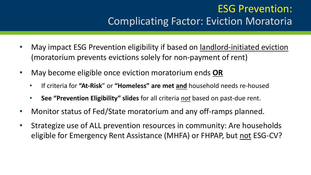## ESG Prevention: Complicating Factor: Eviction Moratoria

- May impact ESG Prevention eligibility if based on landlord-initiated eviction (moratorium prevents evictions solely for non-payment of rent)
- May become eligible once eviction moratorium ends **OR** 
	- If criteria for **"At-Risk**" or **"Homeless" are met and** household needs re-housed
	- **See "Prevention Eligibility" slides** for all criteria *not* based on past-due rent.
- Monitor status of Fed/State moratorium and any off-ramps planned.
- Strategize use of ALL prevention resources in community: Are households eligible for Emergency Rent Assistance (MHFA) or FHPAP, but not ESG-CV?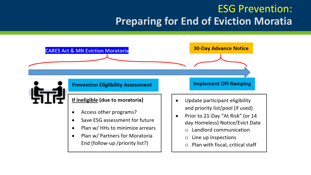## ESG Prevention: **Preparing for End of Eviction Moratia**

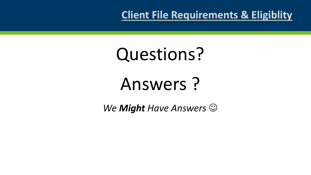**Client File Requirements & Eligiblity**

## Questions?

## Answers ?

*We Might Have Answers* ☺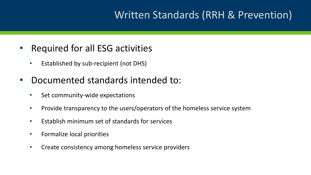## Written Standards (RRH & Prevention)

### • Required for all ESG activities

• Established by sub-recipient (not DHS)

#### • Documented standards intended to:

- Set community-wide expectations
- Provide transparency to the users/operators of the homeless service system
- Establish minimum set of standards for services
- Formalize local priorities
- Create consistency among homeless service providers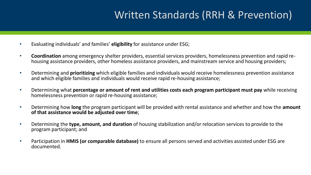## Written Standards (RRH & Prevention)

- Evaluating individuals' and families' **eligibility** for assistance under ESG;
- **Coordination** among emergency shelter providers, essential services providers, homelessness prevention and rapid rehousing assistance providers, other homeless assistance providers, and mainstream service and housing providers;
- Determining and **prioritizing** which eligible families and individuals would receive homelessness prevention assistance and which eligible families and individuals would receive rapid re-housing assistance;
- Determining what **percentage or amount of rent and utilities costs each program participant must pay** while receiving homelessness prevention or rapid re-housing assistance;
- Determining how **long** the program participant will be provided with rental assistance and whether and how the **amount of that assistance would be adjusted over time**;
- Determining the **type, amount, and duration** of housing stabilization and/or relocation services to provide to the program participant; and
- Participation in **HMIS (or comparable database)** to ensure all persons served and activities assisted under ESG are documented.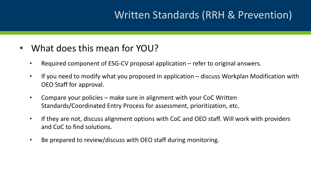## Written Standards (RRH & Prevention)

### • What does this mean for YOU?

- Required component of ESG-CV proposal application refer to original answers.
- If you need to modify what you proposed in application discuss Workplan Modification with OEO Staff for approval.
- Compare your policies make sure in alignment with your CoC Written Standards/Coordinated Entry Process for assessment, prioritization, etc.
- If they are not, discuss alignment options with CoC and OEO staff. Will work with providers and CoC to find solutions.
- Be prepared to review/discuss with OEO staff during monitoring.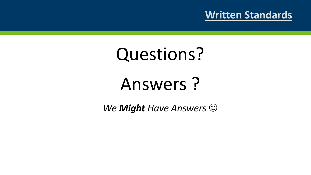### **Written Standards**

## Questions?

## Answers ?

*We Might Have Answers* ☺